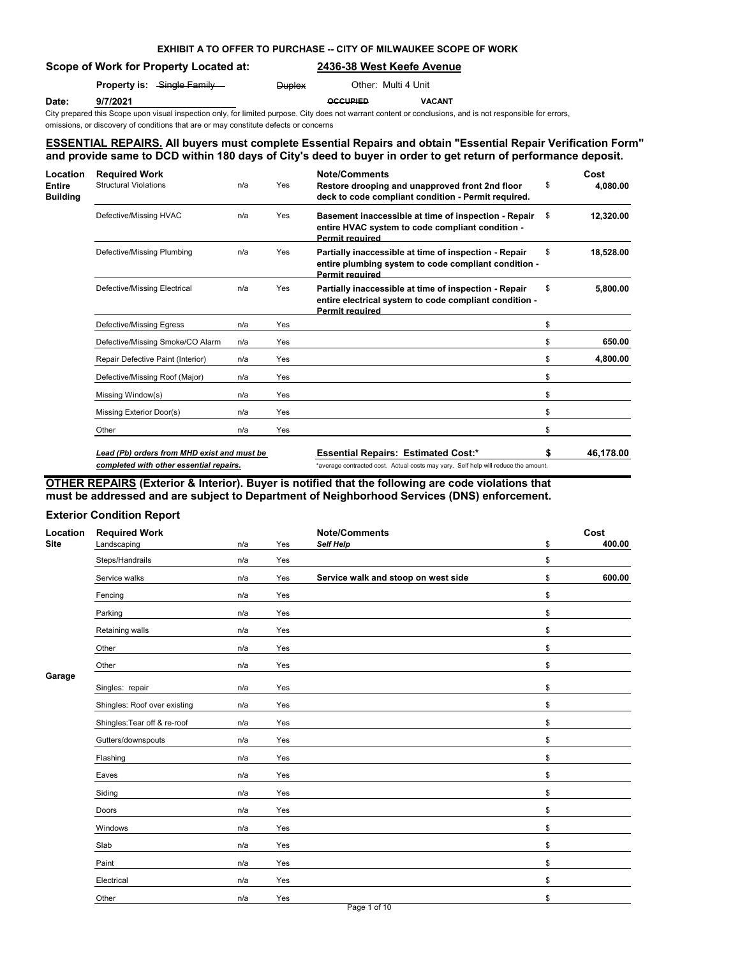# **EXHIBIT A TO OFFER TO PURCHASE -- CITY OF MILWAUKEE SCOPE OF WORK**

## **Scope of Work for Property Located at: 2436-38 West Keefe Avenue**

|       |          | <b>Property is:</b> Single Family | <b>Duplex</b> | Other: Multi 4 Unit |               |
|-------|----------|-----------------------------------|---------------|---------------------|---------------|
| Date: | 9/7/2021 |                                   |               | <b>OCCUPIED</b>     | <b>VACANT</b> |

City prepared this Scope upon visual inspection only, for limited purpose. City does not warrant content or conclusions, and is not responsible for errors,

omissions, or discovery of conditions that are or may constitute defects or concerns

# **ESSENTIAL REPAIRS. All buyers must complete Essential Repairs and obtain "Essential Repair Verification Form" and provide same to DCD within 180 days of City's deed to buyer in order to get return of performance deposit.**

| Location<br><b>Entire</b><br><b>Building</b> | <b>Required Work</b><br><b>Structural Violations</b> | n/a | Yes | <b>Note/Comments</b><br>Restore drooping and unapproved front 2nd floor<br>deck to code compliant condition - Permit required.            | \$<br>Cost<br>4,080.00 |
|----------------------------------------------|------------------------------------------------------|-----|-----|-------------------------------------------------------------------------------------------------------------------------------------------|------------------------|
|                                              | Defective/Missing HVAC                               | n/a | Yes | Basement inaccessible at time of inspection - Repair<br>entire HVAC system to code compliant condition -<br><b>Permit required</b>        | \$<br>12,320.00        |
|                                              | Defective/Missing Plumbing                           | n/a | Yes | Partially inaccessible at time of inspection - Repair<br>entire plumbing system to code compliant condition -<br><b>Permit required</b>   | \$<br>18,528.00        |
|                                              | Defective/Missing Electrical                         | n/a | Yes | Partially inaccessible at time of inspection - Repair<br>entire electrical system to code compliant condition -<br><b>Permit required</b> | \$<br>5,800.00         |
|                                              | Defective/Missing Egress                             | n/a | Yes |                                                                                                                                           | \$                     |
|                                              | Defective/Missing Smoke/CO Alarm                     | n/a | Yes |                                                                                                                                           | \$<br>650.00           |
|                                              | Repair Defective Paint (Interior)                    | n/a | Yes |                                                                                                                                           | \$<br>4,800.00         |
|                                              | Defective/Missing Roof (Major)                       | n/a | Yes |                                                                                                                                           | \$                     |
|                                              | Missing Window(s)                                    | n/a | Yes |                                                                                                                                           | \$                     |
|                                              | Missing Exterior Door(s)                             | n/a | Yes |                                                                                                                                           | \$                     |
|                                              | Other                                                | n/a | Yes |                                                                                                                                           | \$                     |
|                                              | Lead (Pb) orders from MHD exist and must be          |     |     | <b>Essential Repairs: Estimated Cost:*</b>                                                                                                | \$<br>46,178.00        |
|                                              | completed with other essential repairs.              |     |     | *average contracted cost. Actual costs may vary. Self help will reduce the amount.                                                        |                        |

# **OTHER REPAIRS (Exterior & Interior). Buyer is notified that the following are code violations that must be addressed and are subject to Department of Neighborhood Services (DNS) enforcement.**

## **Exterior Condition Report**

| Location    | <b>Required Work</b>         |     |     | <b>Note/Comments</b>                | Cost         |
|-------------|------------------------------|-----|-----|-------------------------------------|--------------|
| <b>Site</b> | Landscaping                  | n/a | Yes | Self Help                           | \$<br>400.00 |
|             | Steps/Handrails              | n/a | Yes |                                     | \$           |
|             | Service walks                | n/a | Yes | Service walk and stoop on west side | \$<br>600.00 |
|             | Fencing                      | n/a | Yes |                                     | \$           |
|             | Parking                      | n/a | Yes |                                     | \$           |
|             | Retaining walls              | n/a | Yes |                                     | \$           |
|             | Other                        | n/a | Yes |                                     | \$           |
|             | Other                        | n/a | Yes |                                     | \$           |
| Garage      | Singles: repair              | n/a | Yes |                                     | \$           |
|             | Shingles: Roof over existing | n/a | Yes |                                     | \$           |
|             | Shingles: Tear off & re-roof | n/a | Yes |                                     | \$           |
|             | Gutters/downspouts           | n/a | Yes |                                     | \$           |
|             | Flashing                     | n/a | Yes |                                     | \$           |
|             | Eaves                        | n/a | Yes |                                     | \$           |
|             | Siding                       | n/a | Yes |                                     | \$           |
|             | Doors                        | n/a | Yes |                                     | \$           |
|             | Windows                      | n/a | Yes |                                     | \$           |
|             | Slab                         | n/a | Yes |                                     | \$           |
|             | Paint                        | n/a | Yes |                                     | \$           |
|             | Electrical                   | n/a | Yes |                                     | \$           |
|             | Other                        | n/a | Yes |                                     | \$           |
|             |                              |     |     | Page 1 of 10                        |              |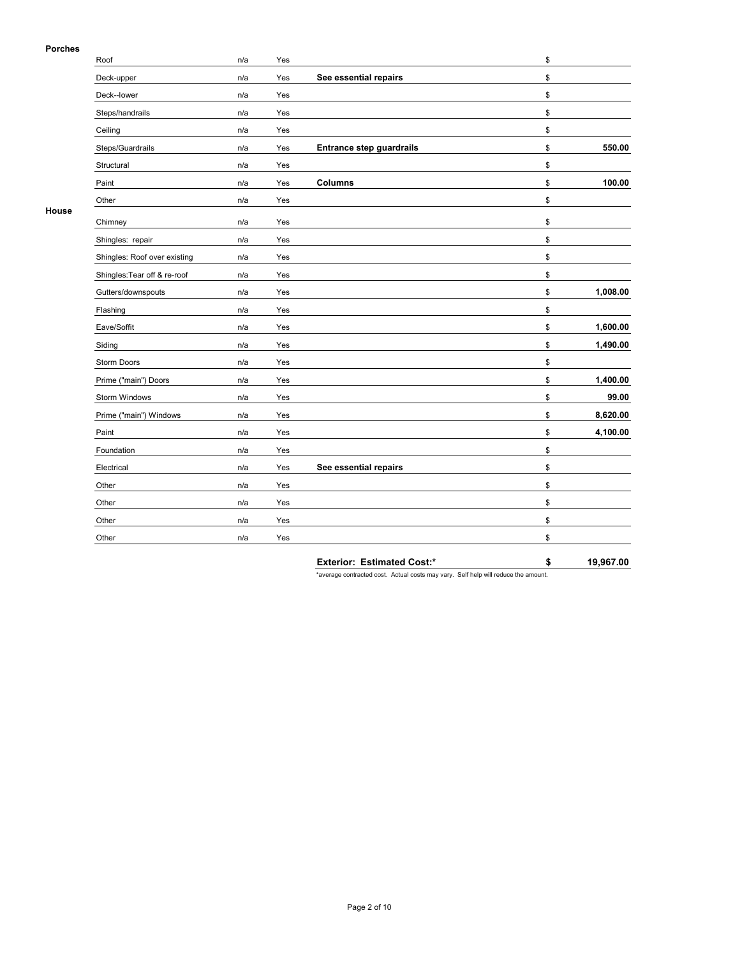## **Porches**

| .     | Roof                         | n/a | Yes |                                 | \$             |
|-------|------------------------------|-----|-----|---------------------------------|----------------|
|       | Deck-upper                   | n/a | Yes | See essential repairs           | \$             |
|       | Deck--lower                  | n/a | Yes |                                 | \$             |
|       | Steps/handrails              | n/a | Yes |                                 | \$             |
|       | Ceiling                      | n/a | Yes |                                 | \$             |
|       | Steps/Guardrails             | n/a | Yes | <b>Entrance step guardrails</b> | \$<br>550.00   |
|       | Structural                   | n/a | Yes |                                 | \$             |
|       | Paint                        | n/a | Yes | Columns                         | \$<br>100.00   |
|       | Other                        | n/a | Yes |                                 | \$             |
| House | Chimney                      | n/a | Yes |                                 | \$             |
|       | Shingles: repair             | n/a | Yes |                                 | \$             |
|       | Shingles: Roof over existing | n/a | Yes |                                 | \$             |
|       | Shingles: Tear off & re-roof | n/a | Yes |                                 | \$             |
|       | Gutters/downspouts           | n/a | Yes |                                 | \$<br>1,008.00 |
|       | Flashing                     | n/a | Yes |                                 | \$             |
|       | Eave/Soffit                  | n/a | Yes |                                 | \$<br>1,600.00 |
|       | Siding                       | n/a | Yes |                                 | \$<br>1,490.00 |
|       | <b>Storm Doors</b>           | n/a | Yes |                                 | \$             |
|       | Prime ("main") Doors         | n/a | Yes |                                 | \$<br>1,400.00 |
|       | Storm Windows                | n/a | Yes |                                 | \$<br>99.00    |
|       | Prime ("main") Windows       | n/a | Yes |                                 | \$<br>8,620.00 |
|       | Paint                        | n/a | Yes |                                 | \$<br>4,100.00 |
|       | Foundation                   | n/a | Yes |                                 | \$             |
|       | Electrical                   | n/a | Yes | See essential repairs           | \$             |
|       | Other                        | n/a | Yes |                                 | \$             |
|       | Other                        | n/a | Yes |                                 | \$             |
|       | Other                        | n/a | Yes |                                 | \$             |
|       | Other                        | n/a | Yes |                                 | \$             |

**Exterior: Estimated Cost:\* \$ 19,967.00**

\*average contracted cost. Actual costs may vary. Self help will reduce the amount.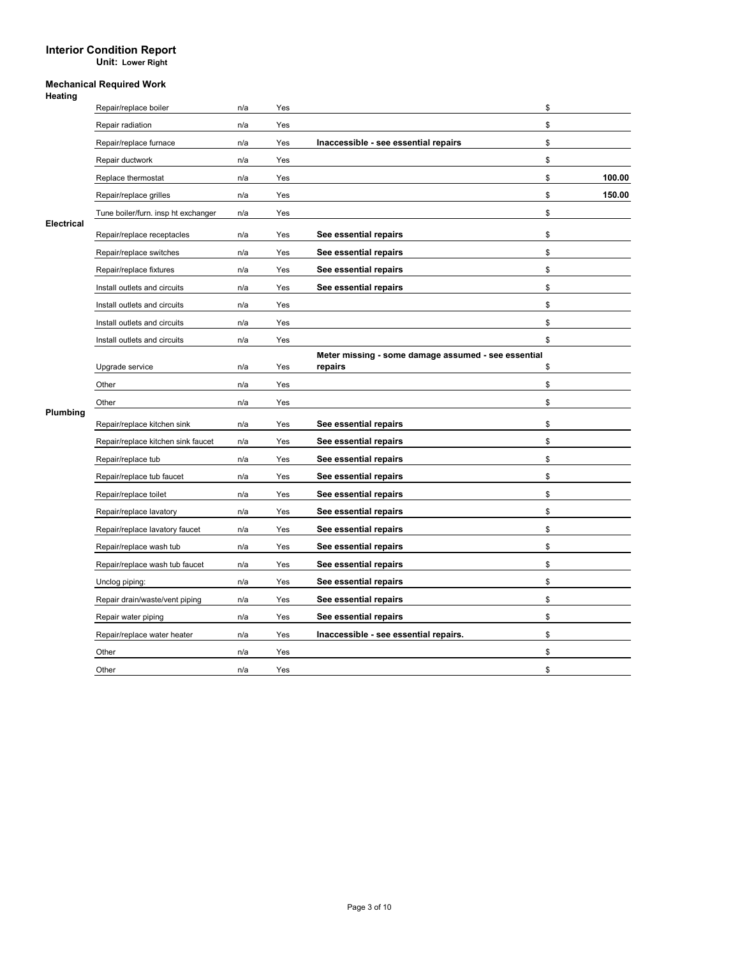**Unit: Lower Right**

| атіг<br>н<br>▭ |
|----------------|
|----------------|

|                   | Repair/replace boiler               | n/a | Yes |                                                     | \$           |
|-------------------|-------------------------------------|-----|-----|-----------------------------------------------------|--------------|
|                   | Repair radiation                    | n/a | Yes |                                                     | \$           |
|                   | Repair/replace furnace              | n/a | Yes | Inaccessible - see essential repairs                | \$           |
|                   | Repair ductwork                     | n/a | Yes |                                                     | \$           |
|                   | Replace thermostat                  | n/a | Yes |                                                     | \$<br>100.00 |
|                   | Repair/replace grilles              | n/a | Yes |                                                     | \$<br>150.00 |
|                   | Tune boiler/furn. insp ht exchanger | n/a | Yes |                                                     | \$           |
| <b>Electrical</b> | Repair/replace receptacles          | n/a | Yes | See essential repairs                               | \$           |
|                   | Repair/replace switches             | n/a | Yes | See essential repairs                               | \$           |
|                   | Repair/replace fixtures             | n/a | Yes | See essential repairs                               | \$           |
|                   | Install outlets and circuits        | n/a | Yes | See essential repairs                               | \$           |
|                   | Install outlets and circuits        | n/a | Yes |                                                     | \$           |
|                   | Install outlets and circuits        | n/a | Yes |                                                     | \$           |
|                   | Install outlets and circuits        | n/a | Yes |                                                     | \$           |
|                   |                                     |     |     | Meter missing - some damage assumed - see essential |              |
|                   | Upgrade service                     | n/a | Yes | repairs                                             | \$           |
|                   | Other                               | n/a | Yes |                                                     | \$           |
| Plumbing          | Other                               | n/a | Yes |                                                     | \$           |
|                   | Repair/replace kitchen sink         | n/a | Yes | See essential repairs                               | \$           |
|                   | Repair/replace kitchen sink faucet  | n/a | Yes | See essential repairs                               | \$           |
|                   | Repair/replace tub                  | n/a | Yes | See essential repairs                               | \$           |
|                   | Repair/replace tub faucet           | n/a | Yes | See essential repairs                               | \$           |
|                   | Repair/replace toilet               | n/a | Yes | See essential repairs                               | \$           |
|                   | Repair/replace lavatory             | n/a | Yes | See essential repairs                               | \$           |
|                   | Repair/replace lavatory faucet      | n/a | Yes | See essential repairs                               | \$           |
|                   | Repair/replace wash tub             | n/a | Yes | See essential repairs                               | \$           |
|                   | Repair/replace wash tub faucet      | n/a | Yes | See essential repairs                               | \$           |
|                   | Unclog piping:                      | n/a | Yes | See essential repairs                               | \$           |
|                   | Repair drain/waste/vent piping      | n/a | Yes | See essential repairs                               | \$           |
|                   | Repair water piping                 | n/a | Yes | See essential repairs                               | \$           |
|                   | Repair/replace water heater         | n/a | Yes | Inaccessible - see essential repairs.               | \$           |
|                   | Other                               | n/a | Yes |                                                     | \$           |
|                   | Other                               | n/a | Yes |                                                     | \$           |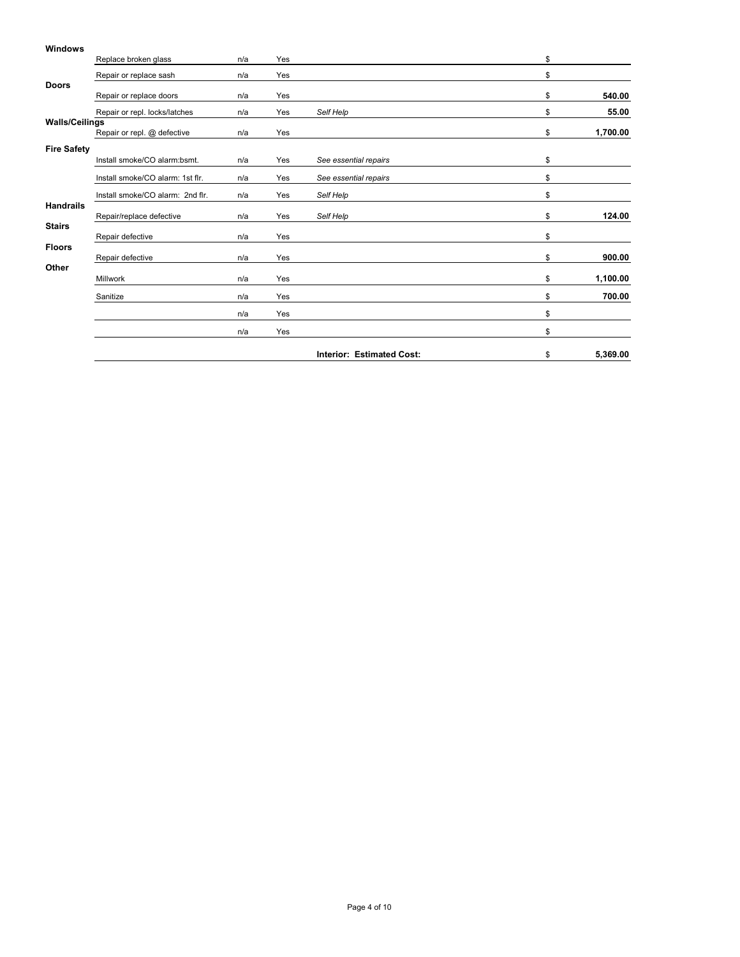|                       | Replace broken glass             | n/a | Yes |                                  | \$             |
|-----------------------|----------------------------------|-----|-----|----------------------------------|----------------|
|                       | Repair or replace sash           | n/a | Yes |                                  | \$             |
| <b>Doors</b>          | Repair or replace doors          | n/a | Yes |                                  | \$<br>540.00   |
|                       | Repair or repl. locks/latches    | n/a | Yes | Self Help                        | \$<br>55.00    |
| <b>Walls/Ceilings</b> | Repair or repl. @ defective      | n/a | Yes |                                  | \$<br>1,700.00 |
| <b>Fire Safety</b>    | Install smoke/CO alarm:bsmt.     | n/a | Yes | See essential repairs            | \$             |
|                       | Install smoke/CO alarm: 1st flr. | n/a | Yes | See essential repairs            | \$             |
|                       | Install smoke/CO alarm: 2nd flr. | n/a | Yes | Self Help                        | \$             |
| <b>Handrails</b>      | Repair/replace defective         | n/a | Yes | Self Help                        | \$<br>124.00   |
| <b>Stairs</b>         | Repair defective                 | n/a | Yes |                                  | \$             |
| <b>Floors</b>         | Repair defective                 | n/a | Yes |                                  | \$<br>900.00   |
| Other                 |                                  |     |     |                                  |                |
|                       | Millwork                         | n/a | Yes |                                  | \$<br>1,100.00 |
|                       | Sanitize                         | n/a | Yes |                                  | \$<br>700.00   |
|                       |                                  | n/a | Yes |                                  | \$             |
|                       |                                  | n/a | Yes |                                  | \$             |
|                       |                                  |     |     | <b>Interior: Estimated Cost:</b> | \$<br>5,369.00 |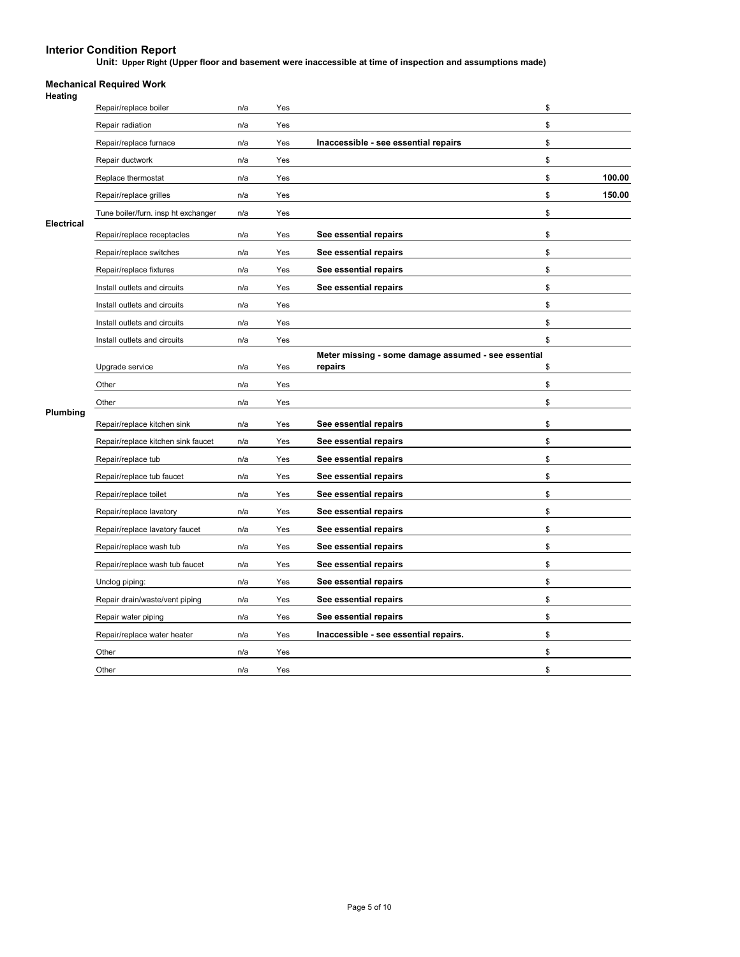**Unit: Upper Right (Upper floor and basement were inaccessible at time of inspection and assumptions made)**

|                   | Repair/replace boiler               | n/a | Yes |                                                     | \$           |
|-------------------|-------------------------------------|-----|-----|-----------------------------------------------------|--------------|
|                   | Repair radiation                    | n/a | Yes |                                                     | \$           |
|                   | Repair/replace furnace              | n/a | Yes | Inaccessible - see essential repairs                | \$           |
|                   | Repair ductwork                     | n/a | Yes |                                                     | \$           |
|                   | Replace thermostat                  | n/a | Yes |                                                     | \$<br>100.00 |
|                   | Repair/replace grilles              | n/a | Yes |                                                     | \$<br>150.00 |
|                   | Tune boiler/furn. insp ht exchanger | n/a | Yes |                                                     | \$           |
| <b>Electrical</b> | Repair/replace receptacles          | n/a | Yes | See essential repairs                               | \$           |
|                   | Repair/replace switches             | n/a | Yes | See essential repairs                               | \$           |
|                   | Repair/replace fixtures             | n/a | Yes | See essential repairs                               | \$           |
|                   | Install outlets and circuits        | n/a | Yes | See essential repairs                               | \$           |
|                   | Install outlets and circuits        | n/a | Yes |                                                     | \$           |
|                   | Install outlets and circuits        | n/a | Yes |                                                     | \$           |
|                   | Install outlets and circuits        | n/a | Yes |                                                     | \$           |
|                   |                                     |     |     | Meter missing - some damage assumed - see essential |              |
|                   | Upgrade service                     | n/a | Yes | repairs                                             | \$           |
|                   | Other                               | n/a | Yes |                                                     | \$           |
| Plumbing          | Other                               | n/a | Yes |                                                     | \$           |
|                   | Repair/replace kitchen sink         | n/a | Yes | See essential repairs                               | \$           |
|                   | Repair/replace kitchen sink faucet  | n/a | Yes | See essential repairs                               | \$           |
|                   | Repair/replace tub                  | n/a | Yes | See essential repairs                               | \$           |
|                   | Repair/replace tub faucet           | n/a | Yes | See essential repairs                               | \$           |
|                   | Repair/replace toilet               | n/a | Yes | See essential repairs                               | \$           |
|                   | Repair/replace lavatory             | n/a | Yes | See essential repairs                               | \$           |
|                   | Repair/replace lavatory faucet      | n/a | Yes | See essential repairs                               | \$           |
|                   | Repair/replace wash tub             | n/a | Yes | See essential repairs                               | \$           |
|                   | Repair/replace wash tub faucet      | n/a | Yes | See essential repairs                               | \$           |
|                   | Unclog piping:                      | n/a | Yes | See essential repairs                               | \$           |
|                   | Repair drain/waste/vent piping      | n/a | Yes | See essential repairs                               | \$           |
|                   | Repair water piping                 | n/a | Yes | See essential repairs                               | \$           |
|                   | Repair/replace water heater         | n/a | Yes | Inaccessible - see essential repairs.               | \$           |
|                   | Other                               | n/a | Yes |                                                     | \$           |
|                   | Other                               | n/a | Yes |                                                     | \$           |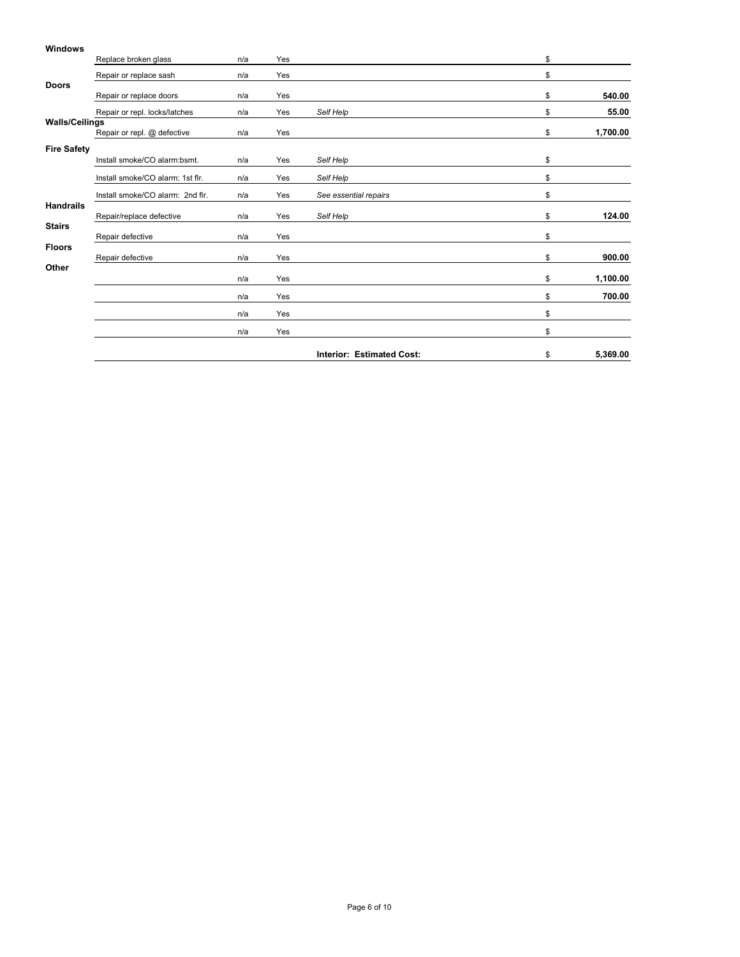|                       | Replace broken glass             | n/a | Yes |                                  | \$             |
|-----------------------|----------------------------------|-----|-----|----------------------------------|----------------|
|                       | Repair or replace sash           | n/a | Yes |                                  | \$             |
| <b>Doors</b>          | Repair or replace doors          | n/a | Yes |                                  | \$<br>540.00   |
|                       | Repair or repl. locks/latches    | n/a | Yes | Self Help                        | \$<br>55.00    |
| <b>Walls/Ceilings</b> | Repair or repl. @ defective      | n/a | Yes |                                  | \$<br>1,700.00 |
| <b>Fire Safety</b>    | Install smoke/CO alarm:bsmt.     | n/a | Yes | Self Help                        | \$             |
|                       | Install smoke/CO alarm: 1st flr. | n/a | Yes | Self Help                        | \$             |
|                       | Install smoke/CO alarm: 2nd flr. | n/a | Yes | See essential repairs            | \$             |
| <b>Handrails</b>      | Repair/replace defective         | n/a | Yes | Self Help                        | \$<br>124.00   |
| <b>Stairs</b>         | Repair defective                 | n/a | Yes |                                  | \$             |
| <b>Floors</b>         | Repair defective                 | n/a | Yes |                                  | \$<br>900.00   |
| Other                 |                                  | n/a | Yes |                                  | \$<br>1,100.00 |
|                       |                                  | n/a | Yes |                                  | \$<br>700.00   |
|                       |                                  | n/a | Yes |                                  | \$             |
|                       |                                  | n/a | Yes |                                  | \$             |
|                       |                                  |     |     | <b>Interior: Estimated Cost:</b> | \$<br>5,369.00 |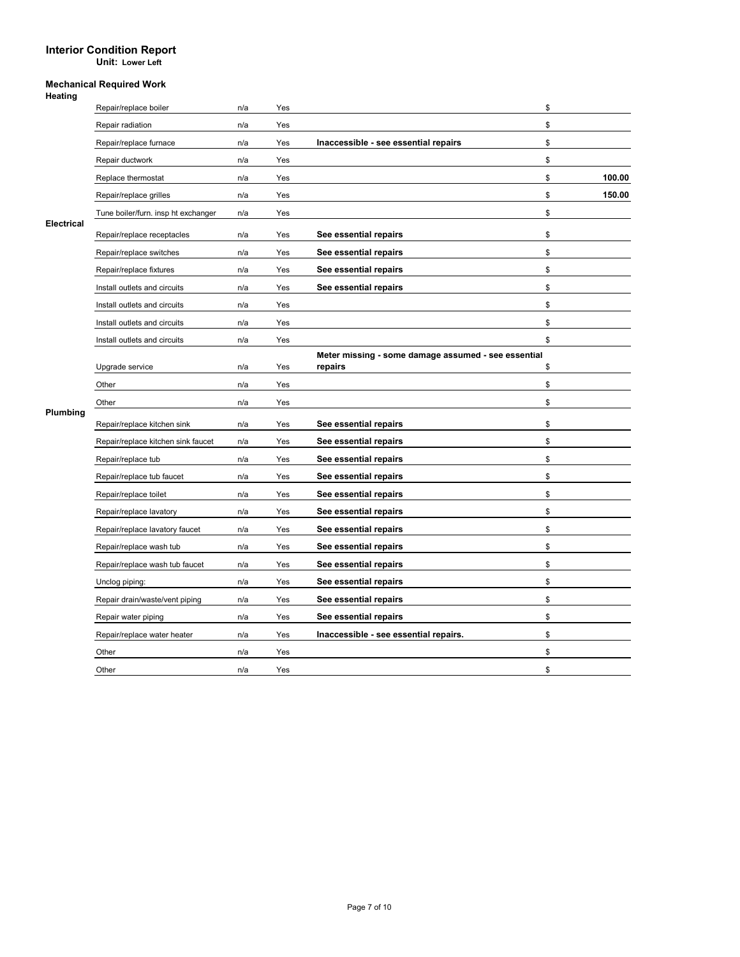**Unit: Lower Left**

| атіг<br>н<br>▭ |
|----------------|
|----------------|

|                   | Repair/replace boiler               | n/a | Yes |                                                     | \$           |
|-------------------|-------------------------------------|-----|-----|-----------------------------------------------------|--------------|
|                   | Repair radiation                    | n/a | Yes |                                                     | \$           |
|                   | Repair/replace furnace              | n/a | Yes | Inaccessible - see essential repairs                | \$           |
|                   | Repair ductwork                     | n/a | Yes |                                                     | \$           |
|                   | Replace thermostat                  | n/a | Yes |                                                     | \$<br>100.00 |
|                   | Repair/replace grilles              | n/a | Yes |                                                     | \$<br>150.00 |
|                   | Tune boiler/furn. insp ht exchanger | n/a | Yes |                                                     | \$           |
| <b>Electrical</b> | Repair/replace receptacles          | n/a | Yes | See essential repairs                               | \$           |
|                   | Repair/replace switches             | n/a | Yes | See essential repairs                               | \$           |
|                   | Repair/replace fixtures             | n/a | Yes | See essential repairs                               | \$           |
|                   | Install outlets and circuits        | n/a | Yes | See essential repairs                               | \$           |
|                   | Install outlets and circuits        | n/a | Yes |                                                     | \$           |
|                   | Install outlets and circuits        | n/a | Yes |                                                     | \$           |
|                   | Install outlets and circuits        | n/a | Yes |                                                     | \$           |
|                   |                                     |     |     | Meter missing - some damage assumed - see essential |              |
|                   | Upgrade service                     | n/a | Yes | repairs                                             | \$           |
|                   | Other                               | n/a | Yes |                                                     | \$           |
| Plumbing          | Other                               | n/a | Yes |                                                     | \$           |
|                   | Repair/replace kitchen sink         | n/a | Yes | See essential repairs                               | \$           |
|                   | Repair/replace kitchen sink faucet  | n/a | Yes | See essential repairs                               | \$           |
|                   | Repair/replace tub                  | n/a | Yes | See essential repairs                               | \$           |
|                   | Repair/replace tub faucet           | n/a | Yes | See essential repairs                               | \$           |
|                   | Repair/replace toilet               | n/a | Yes | See essential repairs                               | \$           |
|                   | Repair/replace lavatory             | n/a | Yes | See essential repairs                               | \$           |
|                   | Repair/replace lavatory faucet      | n/a | Yes | See essential repairs                               | \$           |
|                   | Repair/replace wash tub             | n/a | Yes | See essential repairs                               | \$           |
|                   | Repair/replace wash tub faucet      | n/a | Yes | See essential repairs                               | \$           |
|                   | Unclog piping:                      | n/a | Yes | See essential repairs                               | \$           |
|                   | Repair drain/waste/vent piping      | n/a | Yes | See essential repairs                               | \$           |
|                   | Repair water piping                 | n/a | Yes | See essential repairs                               | \$           |
|                   | Repair/replace water heater         | n/a | Yes | Inaccessible - see essential repairs.               | \$           |
|                   | Other                               | n/a | Yes |                                                     | \$           |
|                   |                                     | n/a | Yes |                                                     | \$           |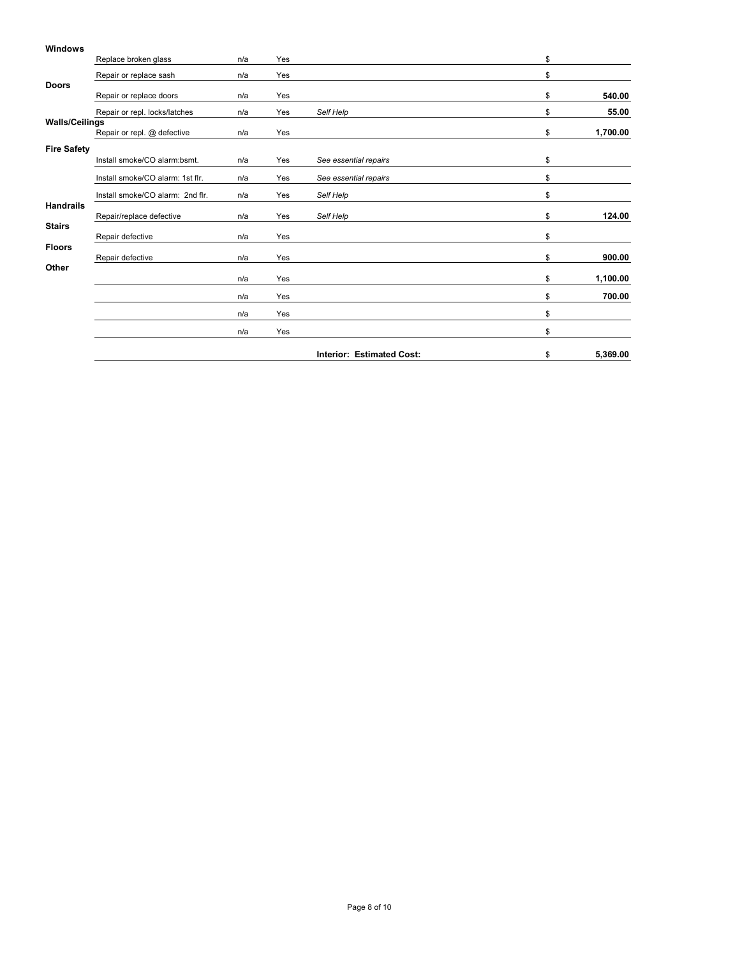|                       | Replace broken glass             | n/a | Yes |                                  | \$             |
|-----------------------|----------------------------------|-----|-----|----------------------------------|----------------|
|                       | Repair or replace sash           | n/a | Yes |                                  | \$             |
| <b>Doors</b>          | Repair or replace doors          | n/a | Yes |                                  | \$<br>540.00   |
|                       | Repair or repl. locks/latches    | n/a | Yes | Self Help                        | \$<br>55.00    |
| <b>Walls/Ceilings</b> | Repair or repl. @ defective      | n/a | Yes |                                  | \$<br>1,700.00 |
| <b>Fire Safety</b>    | Install smoke/CO alarm:bsmt.     | n/a | Yes | See essential repairs            | \$             |
|                       | Install smoke/CO alarm: 1st flr. | n/a | Yes | See essential repairs            | \$             |
|                       | Install smoke/CO alarm: 2nd flr. | n/a | Yes | Self Help                        | \$             |
| <b>Handrails</b>      | Repair/replace defective         | n/a | Yes | Self Help                        | \$<br>124.00   |
| <b>Stairs</b>         | Repair defective                 | n/a | Yes |                                  | \$             |
| <b>Floors</b>         | Repair defective                 | n/a | Yes |                                  | \$<br>900.00   |
| Other                 |                                  | n/a | Yes |                                  | \$<br>1,100.00 |
|                       |                                  | n/a | Yes |                                  | \$<br>700.00   |
|                       |                                  | n/a | Yes |                                  | \$             |
|                       |                                  | n/a | Yes |                                  | \$             |
|                       |                                  |     |     | <b>Interior: Estimated Cost:</b> | \$<br>5,369.00 |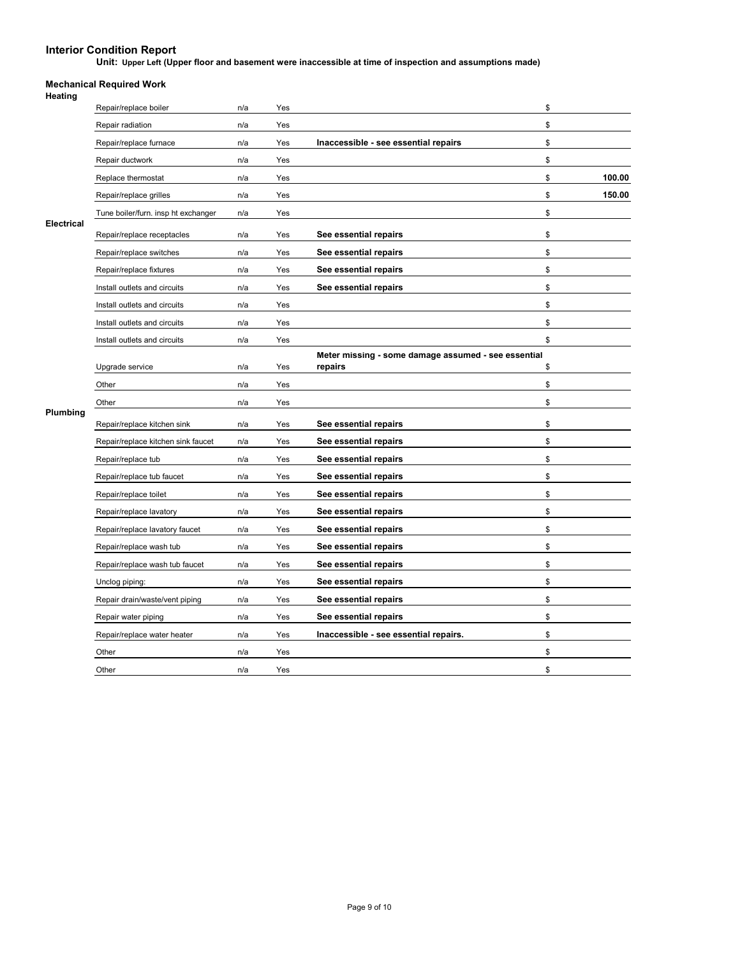**Unit: Upper Left (Upper floor and basement were inaccessible at time of inspection and assumptions made)**

| leating |  |
|---------|--|

|                   | Repair/replace boiler               | n/a | Yes |                                                     | \$           |
|-------------------|-------------------------------------|-----|-----|-----------------------------------------------------|--------------|
| <b>Electrical</b> | Repair radiation                    | n/a | Yes |                                                     | \$           |
|                   | Repair/replace furnace              | n/a | Yes | Inaccessible - see essential repairs                | \$           |
|                   | Repair ductwork                     | n/a | Yes |                                                     | \$           |
|                   | Replace thermostat                  | n/a | Yes |                                                     | 100.00<br>\$ |
|                   | Repair/replace grilles              | n/a | Yes |                                                     | \$<br>150.00 |
|                   | Tune boiler/furn. insp ht exchanger | n/a | Yes |                                                     | \$           |
|                   | Repair/replace receptacles          | n/a | Yes | See essential repairs                               | \$           |
|                   | Repair/replace switches             | n/a | Yes | See essential repairs                               | \$           |
|                   | Repair/replace fixtures             | n/a | Yes | See essential repairs                               | \$           |
|                   | Install outlets and circuits        | n/a | Yes | See essential repairs                               | \$           |
|                   | Install outlets and circuits        | n/a | Yes |                                                     | \$           |
|                   | Install outlets and circuits        | n/a | Yes |                                                     | \$           |
|                   | Install outlets and circuits        | n/a | Yes |                                                     | \$           |
|                   |                                     |     |     | Meter missing - some damage assumed - see essential |              |
|                   | Upgrade service                     | n/a | Yes | repairs                                             | \$           |
|                   | Other                               | n/a | Yes |                                                     | \$           |
| Plumbing          | Other                               | n/a | Yes |                                                     | \$           |
|                   | Repair/replace kitchen sink         | n/a | Yes | See essential repairs                               | \$           |
|                   | Repair/replace kitchen sink faucet  | n/a | Yes | See essential repairs                               | \$           |
|                   | Repair/replace tub                  | n/a | Yes | See essential repairs                               | \$           |
|                   | Repair/replace tub faucet           | n/a | Yes | See essential repairs                               | \$           |
|                   | Repair/replace toilet               | n/a | Yes | See essential repairs                               | \$           |
|                   | Repair/replace lavatory             | n/a | Yes | See essential repairs                               | \$           |
|                   | Repair/replace lavatory faucet      | n/a | Yes | See essential repairs                               | \$           |
|                   | Repair/replace wash tub             | n/a | Yes | See essential repairs                               | \$           |
|                   | Repair/replace wash tub faucet      | n/a | Yes | See essential repairs                               | \$           |
|                   | Unclog piping:                      | n/a | Yes | See essential repairs                               | \$           |
|                   | Repair drain/waste/vent piping      | n/a | Yes | See essential repairs                               | \$           |
|                   | Repair water piping                 | n/a | Yes | See essential repairs                               | \$           |
|                   | Repair/replace water heater         | n/a | Yes | Inaccessible - see essential repairs.               | \$           |
|                   | Other                               | n/a | Yes |                                                     | \$           |
|                   | Other                               | n/a | Yes |                                                     | \$           |